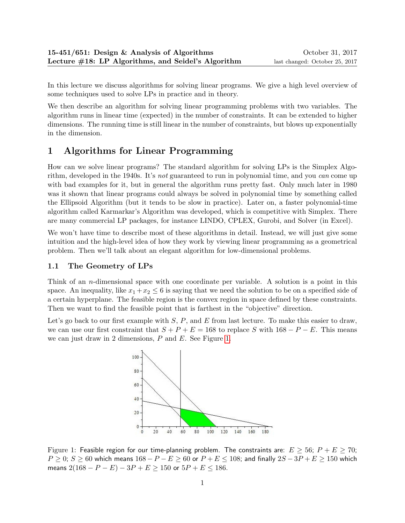In this lecture we discuss algorithms for solving linear programs. We give a high level overview of some techniques used to solve LPs in practice and in theory.

We then describe an algorithm for solving linear programming problems with two variables. The algorithm runs in linear time (expected) in the number of constraints. It can be extended to higher dimensions. The running time is still linear in the number of constraints, but blows up exponentially in the dimension.

## 1 Algorithms for Linear Programming

How can we solve linear programs? The standard algorithm for solving LPs is the Simplex Algorithm, developed in the 1940s. It's not guaranteed to run in polynomial time, and you can come up with bad examples for it, but in general the algorithm runs pretty fast. Only much later in 1980 was it shown that linear programs could always be solved in polynomial time by something called the Ellipsoid Algorithm (but it tends to be slow in practice). Later on, a faster polynomial-time algorithm called Karmarkar's Algorithm was developed, which is competitive with Simplex. There are many commercial LP packages, for instance LINDO, CPLEX, Gurobi, and Solver (in Excel).

We won't have time to describe most of these algorithms in detail. Instead, we will just give some intuition and the high-level idea of how they work by viewing linear programming as a geometrical problem. Then we'll talk about an elegant algorithm for low-dimensional problems.

## 1.1 The Geometry of LPs

Think of an *n*-dimensional space with one coordinate per variable. A solution is a point in this space. An inequality, like  $x_1 + x_2 \leq 6$  is saying that we need the solution to be on a specified side of a certain hyperplane. The feasible region is the convex region in space defined by these constraints. Then we want to find the feasible point that is farthest in the "objective" direction.

Let's go back to our first example with  $S$ ,  $P$ , and  $E$  from last lecture. To make this easier to draw, we can use our first constraint that  $S + P + E = 168$  to replace S with  $168 - P - E$ . This means we can just draw in 2 dimensions, P and E. See Figure [1.](#page-0-0)



<span id="page-0-0"></span>Figure 1: Feasible region for our time-planning problem. The constraints are:  $E \ge 56$ ;  $P + E \ge 70$ ;  $P \ge 0$ ;  $S \ge 60$  which means  $168 - P - E \ge 60$  or  $P + E \le 108$ ; and finally  $2S - 3P + E \ge 150$  which means  $2(168 - P - E) - 3P + E \ge 150$  or  $5P + E \le 186$ .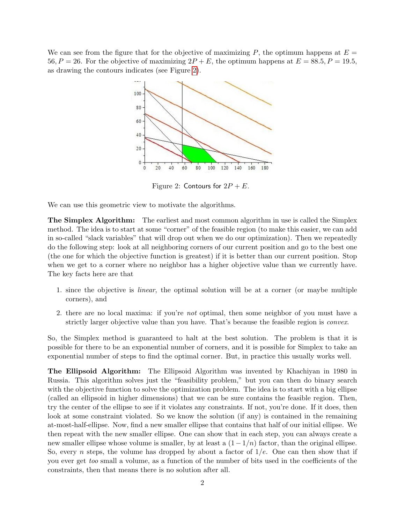We can see from the figure that for the objective of maximizing  $P$ , the optimum happens at  $E =$ 56,  $P = 26$ . For the objective of maximizing  $2P + E$ , the optimum happens at  $E = 88.5$ ,  $P = 19.5$ , as drawing the contours indicates (see Figure [2\)](#page-1-0).



<span id="page-1-0"></span>Figure 2: Contours for  $2P + E$ .

We can use this geometric view to motivate the algorithms.

The Simplex Algorithm: The earliest and most common algorithm in use is called the Simplex method. The idea is to start at some "corner" of the feasible region (to make this easier, we can add in so-called "slack variables" that will drop out when we do our optimization). Then we repeatedly do the following step: look at all neighboring corners of our current position and go to the best one (the one for which the objective function is greatest) if it is better than our current position. Stop when we get to a corner where no neighbor has a higher objective value than we currently have. The key facts here are that

- 1. since the objective is linear, the optimal solution will be at a corner (or maybe multiple corners), and
- 2. there are no local maxima: if you're not optimal, then some neighbor of you must have a strictly larger objective value than you have. That's because the feasible region is *convex*.

So, the Simplex method is guaranteed to halt at the best solution. The problem is that it is possible for there to be an exponential number of corners, and it is possible for Simplex to take an exponential number of steps to find the optimal corner. But, in practice this usually works well.

The Ellipsoid Algorithm: The Ellipsoid Algorithm was invented by Khachiyan in 1980 in Russia. This algorithm solves just the "feasibility problem," but you can then do binary search with the objective function to solve the optimization problem. The idea is to start with a big ellipse (called an ellipsoid in higher dimensions) that we can be sure contains the feasible region. Then, try the center of the ellipse to see if it violates any constraints. If not, you're done. If it does, then look at some constraint violated. So we know the solution (if any) is contained in the remaining at-most-half-ellipse. Now, find a new smaller ellipse that contains that half of our initial ellipse. We then repeat with the new smaller ellipse. One can show that in each step, you can always create a new smaller ellipse whose volume is smaller, by at least a  $(1 - 1/n)$  factor, than the original ellipse. So, every *n* steps, the volume has dropped by about a factor of  $1/e$ . One can then show that if you ever get too small a volume, as a function of the number of bits used in the coefficients of the constraints, then that means there is no solution after all.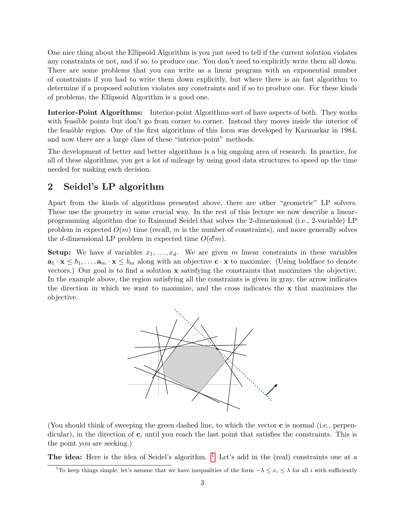One nice thing about the Ellipsoid Algorithm is you just need to tell if the current solution violates any constraints or not, and if so, to produce one. You don't need to explicitly write them all down. There are some problems that you can write as a linear program with an exponential number of constraints if you had to write them down explicitly, but where there is an fast algorithm to determine if a proposed solution violates any constraints and if so to produce one. For these kinds of problems, the Ellipsoid Algorithm is a good one.

Interior-Point Algorithms: Interior-point Algorithms sort of have aspects of both. They works with feasible points but don't go from corner to corner. Instead they moves inside the interior of the feasible region. One of the first algorithms of this form was developed by Karmarkar in 1984, and now there are a large class of these "interior-point" methods.

The development of better and better algorithms is a big ongoing area of research. In practice, for all of these algorithms, you get a lot of mileage by using good data structures to speed up the time needed for making each decision.

## 2 Seidel's LP algorithm

Apart from the kinds of algorithms presented above, there are other "geometric" LP solvers. These use the geometry in some crucial way. In the rest of this lecture we now describe a linearprogramming algorithm due to Raimund Seidel that solves the 2-dimensional (i.e., 2-variable) LP problem in expected  $O(m)$  time (recall, m is the number of constraints), and more generally solves the d-dimensional LP problem in expected time  $O(d!m)$ .

**Setup:** We have d variables  $x_1, \ldots, x_d$ . We are given m linear constraints in these variables  $\mathbf{a}_1 \cdot \mathbf{x} \leq b_1, \ldots, \mathbf{a}_m \cdot \mathbf{x} \leq b_m$  along with an objective  $\mathbf{c} \cdot \mathbf{x}$  to maximize. (Using boldface to denote vectors.) Our goal is to find a solution x satisfying the constraints that maximizes the objective. In the example above, the region satisfying all the constraints is given in gray, the arrow indicates the direction in which we want to maximize, and the cross indicates the x that maximizes the objective.



(You should think of sweeping the green dashed line, to which the vector c is normal (i.e., perpendicular), in the direction of c, until you reach the last point that satisfies the constraints. This is the point you are seeking.)

The idea: Here is the idea of Seidel's algorithm.  $1$  Let's add in the (real) constraints one at a

<span id="page-2-0"></span><sup>&</sup>lt;sup>1</sup>To keep things simple, let's assume that we have inequalities of the form  $-\lambda \leq x_i \leq \lambda$  for all i with sufficiently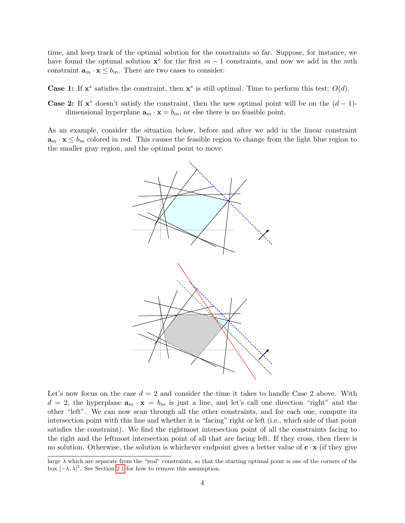time, and keep track of the optimal solution for the constraints so far. Suppose, for instance, we have found the optimal solution  $\mathbf{x}^*$  for the first  $m-1$  constraints, and now we add in the mth constraint  $\mathbf{a}_m \cdot \mathbf{x} \leq b_m$ . There are two cases to consider:

Case 1: If  $x^*$  satisfies the constraint, then  $x^*$  is still optimal. Time to perform this test:  $O(d)$ .

**Case 2:** If  $x^*$  doesn't satisfy the constraint, then the new optimal point will be on the  $(d-1)$ dimensional hyperplane  $\mathbf{a}_m \cdot \mathbf{x} = b_m$ , or else there is no feasible point.

As an example, consider the situation below, before and after we add in the linear constraint  $\mathbf{a}_m \cdot \mathbf{x} \leq b_m$  colored in red. This causes the feasible region to change from the light blue region to the smaller gray region, and the optimal point to move.



Let's now focus on the case  $d = 2$  and consider the time it takes to handle Case 2 above. With  $d = 2$ , the hyperplane  $\mathbf{a}_m \cdot \mathbf{x} = b_m$  is just a line, and let's call one direction "right" and the other "left". We can now scan through all the other constraints, and for each one, compute its intersection point with this line and whether it is "facing" right or left (i.e., which side of that point satisfies the constraint). We find the rightmost intersection point of all the constraints facing to the right and the leftmost intersection point of all that are facing left. If they cross, then there is no solution. Otherwise, the solution is whichever endpoint gives a better value of  $c \cdot x$  (if they give

large  $\lambda$  which are separate from the "real" constraints, so that the starting optimal point is one of the corners of the box  $[-\lambda, \lambda]^2$ . See Section [2.1](#page-4-0) for how to remove this assumption.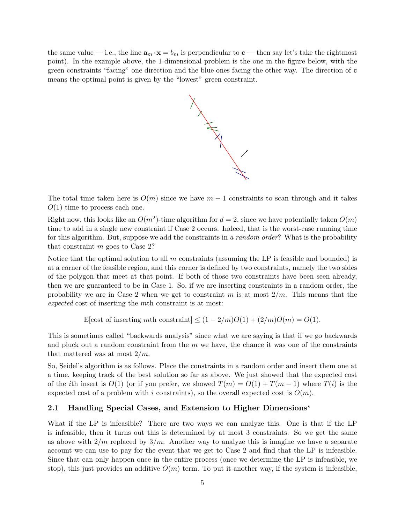the same value — i.e., the line  $\mathbf{a}_m \cdot \mathbf{x} = b_m$  is perpendicular to  $\mathbf{c}$  — then say let's take the rightmost point). In the example above, the 1-dimensional problem is the one in the figure below, with the green constraints "facing" one direction and the blue ones facing the other way. The direction of c means the optimal point is given by the "lowest" green constraint.



The total time taken here is  $O(m)$  since we have  $m-1$  constraints to scan through and it takes  $O(1)$  time to process each one.

Right now, this looks like an  $O(m^2)$ -time algorithm for  $d = 2$ , since we have potentially taken  $O(m)$ time to add in a single new constraint if Case 2 occurs. Indeed, that is the worst-case running time for this algorithm. But, suppose we add the constraints in a random order? What is the probability that constraint m goes to Case 2?

Notice that the optimal solution to all  $m$  constraints (assuming the LP is feasible and bounded) is at a corner of the feasible region, and this corner is defined by two constraints, namely the two sides of the polygon that meet at that point. If both of those two constraints have been seen already, then we are guaranteed to be in Case 1. So, if we are inserting constraints in a random order, the probability we are in Case 2 when we get to constraint m is at most  $2/m$ . This means that the expected cost of inserting the mth constraint is at most:

E[cost of inserting mth constraint]  $\leq (1 - 2/m)O(1) + (2/m)O(m) = O(1)$ .

This is sometimes called "backwards analysis" since what we are saying is that if we go backwards and pluck out a random constraint from the  $m$  we have, the chance it was one of the constraints that mattered was at most  $2/m$ .

So, Seidel's algorithm is as follows. Place the constraints in a random order and insert them one at a time, keeping track of the best solution so far as above. We just showed that the expected cost of the ith insert is  $O(1)$  (or if you prefer, we showed  $T(m) = O(1) + T(m-1)$  where  $T(i)$  is the expected cost of a problem with i constraints), so the overall expected cost is  $O(m)$ .

## <span id="page-4-0"></span>2.1 Handling Special Cases, and Extension to Higher Dimensions<sup>\*</sup>

What if the LP is infeasible? There are two ways we can analyze this. One is that if the LP is infeasible, then it turns out this is determined by at most 3 constraints. So we get the same as above with  $2/m$  replaced by  $3/m$ . Another way to analyze this is imagine we have a separate account we can use to pay for the event that we get to Case 2 and find that the LP is infeasible. Since that can only happen once in the entire process (once we determine the LP is infeasible, we stop), this just provides an additive  $O(m)$  term. To put it another way, if the system is infeasible,